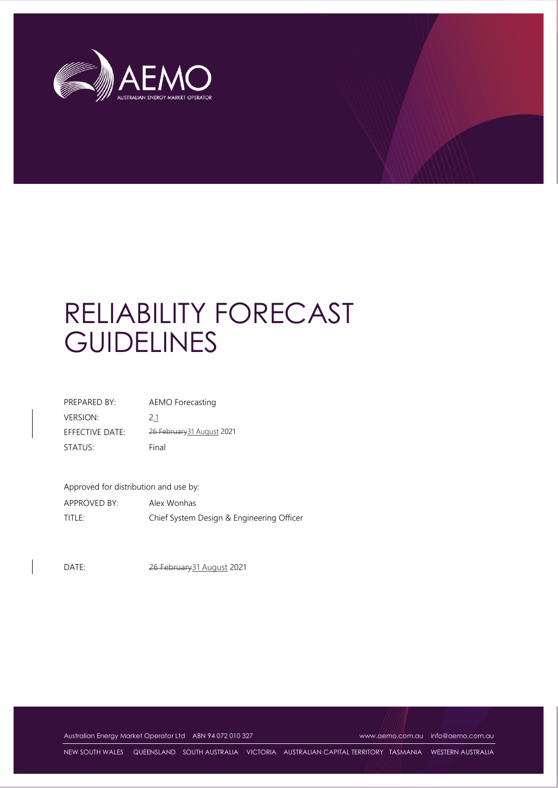

# RELIABILITY FORECAST **GUIDELINES**

| PREPARED BY:    | AEMO Forecasting           |
|-----------------|----------------------------|
| <b>VERSION:</b> | 2.1                        |
| EFFECTIVE DATE: | 26 February 31 August 2021 |
| STATUS:         | Final                      |

Approved for distribution and use by:

APPROVED BY: Alex Wonhas TITLE: Chief System Design & Engineering Officer

DATE: 26 February 31 August 2021

Australian Energy Market Operator Ltd ABN 94 072 010 327 [www.aemo.com.au](http://www.aemo.com.au/) [info@aemo.com.au](mailto:info@aemo.com.au)

NEW SOUTH WALES QUEENSLAND SOUTH AUSTRALIA VICTORIA AUSTRALIAN CAPITAL TERRITORY TASMANIA WESTERN AUSTRALIA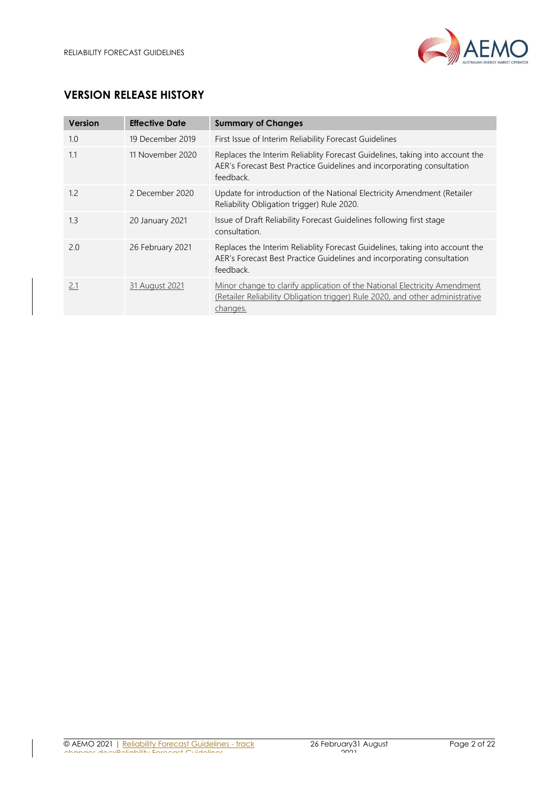

# **VERSION RELEASE HISTORY**

| Version | <b>Effective Date</b> | <b>Summary of Changes</b>                                                                                                                                                     |
|---------|-----------------------|-------------------------------------------------------------------------------------------------------------------------------------------------------------------------------|
| 1.0     | 19 December 2019      | First Issue of Interim Reliability Forecast Guidelines                                                                                                                        |
| 1.1     | 11 November 2020      | Replaces the Interim Reliablity Forecast Guidelines, taking into account the<br>AER's Forecast Best Practice Guidelines and incorporating consultation<br>feedback.           |
| 1.2     | 2 December 2020       | Update for introduction of the National Electricity Amendment (Retailer<br>Reliability Obligation trigger) Rule 2020.                                                         |
| 1.3     | 20 January 2021       | Issue of Draft Reliability Forecast Guidelines following first stage<br>consultation.                                                                                         |
| 2.0     | 26 February 2021      | Replaces the Interim Reliablity Forecast Guidelines, taking into account the<br>AER's Forecast Best Practice Guidelines and incorporating consultation<br>feedback.           |
| 2.1     | 31 August 2021        | <u>Minor change to clarify application of the National Electricity Amendment</u><br>(Retailer Reliability Obligation trigger) Rule 2020, and other administrative<br>changes. |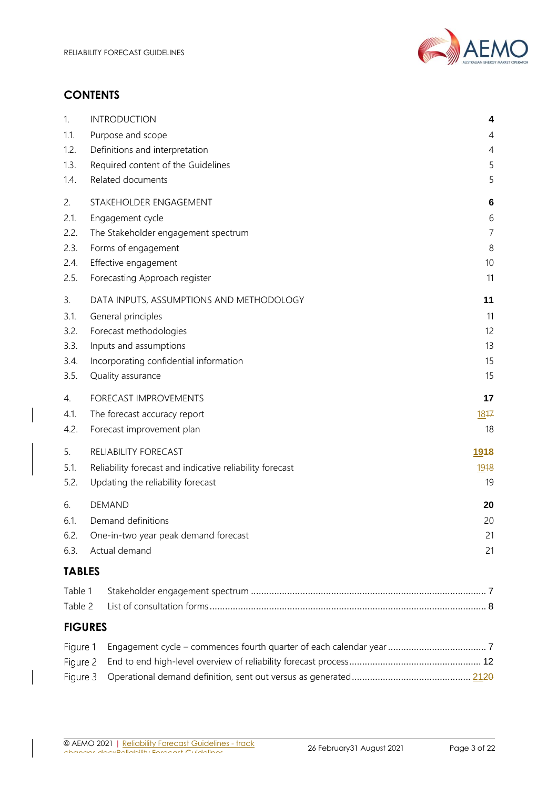

# **CONTENTS**

| 1.<br>1.1.                  | <b>INTRODUCTION</b><br>Purpose and scope                             | 4<br>4         |  |
|-----------------------------|----------------------------------------------------------------------|----------------|--|
| 1.2.<br>1.3.                | Definitions and interpretation<br>Required content of the Guidelines | 4<br>5         |  |
| 1.4.                        | Related documents                                                    | 5              |  |
| 2.                          | STAKEHOLDER ENGAGEMENT                                               | 6              |  |
| 2.1.                        | Engagement cycle                                                     | 6              |  |
| 2.2.                        | The Stakeholder engagement spectrum                                  | $\overline{7}$ |  |
| 2.3.                        | Forms of engagement                                                  | 8              |  |
| 2.4.                        | Effective engagement                                                 | 10             |  |
| 2.5.                        | Forecasting Approach register                                        | 11             |  |
| 3.                          | DATA INPUTS, ASSUMPTIONS AND METHODOLOGY                             | 11             |  |
| 3.1.                        | General principles                                                   | 11             |  |
| 3.2.                        | Forecast methodologies                                               | 12             |  |
| 3.3.<br>3.4.                | Inputs and assumptions<br>Incorporating confidential information     | 13<br>15       |  |
| 3.5.                        | Quality assurance                                                    | 15             |  |
|                             |                                                                      |                |  |
| 4.                          | FORECAST IMPROVEMENTS                                                | 17<br>1847     |  |
| 4.1.<br>4.2.                | The forecast accuracy report                                         |                |  |
|                             | Forecast improvement plan                                            | 18             |  |
| 5.                          | RELIABILITY FORECAST                                                 | 1948           |  |
| 5.1.                        | Reliability forecast and indicative reliability forecast<br>1918     |                |  |
| 5.2.                        | Updating the reliability forecast                                    | 19             |  |
| 6.                          | <b>DEMAND</b>                                                        | 20             |  |
| 6.1.                        | Demand definitions                                                   |                |  |
| 6.2.                        | One-in-two year peak demand forecast                                 | 21             |  |
| Actual demand<br>6.3.<br>21 |                                                                      |                |  |
| <b>TABLES</b>               |                                                                      |                |  |
| Table 1                     |                                                                      |                |  |
|                             | Table 2                                                              |                |  |
| <b>FIGURES</b>              |                                                                      |                |  |
| Figure 1                    |                                                                      |                |  |
| Figure 2                    |                                                                      |                |  |
|                             | Figure 3                                                             |                |  |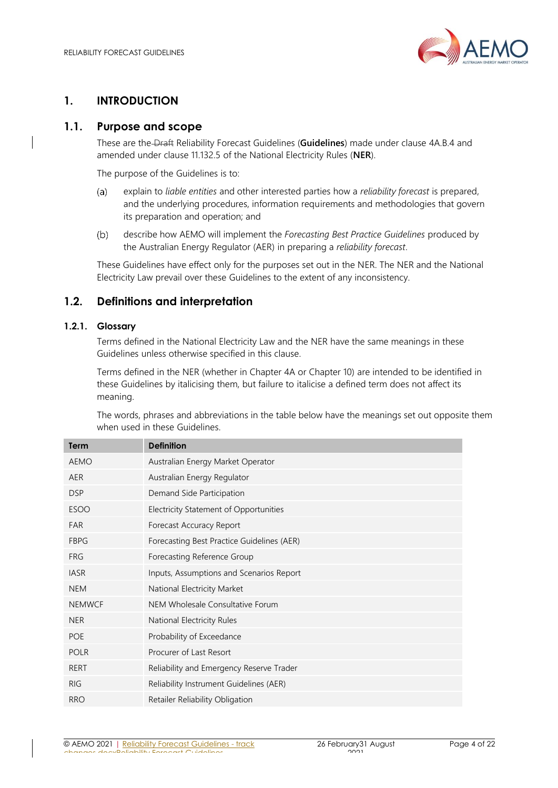

# <span id="page-3-0"></span>**1. INTRODUCTION**

# <span id="page-3-1"></span>**1.1. Purpose and scope**

These are the Draft Reliability Forecast Guidelines (**Guidelines**) made under clause 4A.B.4 and amended under clause 11.132.5 of the National Electricity Rules (**NER**).

The purpose of the Guidelines is to:

- explain to *liable entities* and other interested parties how a *reliability forecast* is prepared,  $(a)$ and the underlying procedures, information requirements and methodologies that govern its preparation and operation; and
- $(b)$ describe how AEMO will implement the *Forecasting Best Practice Guidelines* produced by the Australian Energy Regulator (AER) in preparing a *reliability forecast*.

These Guidelines have effect only for the purposes set out in the NER. The NER and the National Electricity Law prevail over these Guidelines to the extent of any inconsistency.

# <span id="page-3-2"></span>**1.2. Definitions and interpretation**

#### **1.2.1. Glossary**

Terms defined in the National Electricity Law and the NER have the same meanings in these Guidelines unless otherwise specified in this clause.

Terms defined in the NER (whether in Chapter 4A or Chapter 10) are intended to be identified in these Guidelines by italicising them, but failure to italicise a defined term does not affect its meaning.

The words, phrases and abbreviations in the table below have the meanings set out opposite them when used in these Guidelines.

| <b>Term</b>   | <b>Definition</b>                          |
|---------------|--------------------------------------------|
| <b>AEMO</b>   | Australian Energy Market Operator          |
| <b>AER</b>    | Australian Energy Regulator                |
| <b>DSP</b>    | Demand Side Participation                  |
| <b>ESOO</b>   | Electricity Statement of Opportunities     |
| <b>FAR</b>    | Forecast Accuracy Report                   |
| <b>FBPG</b>   | Forecasting Best Practice Guidelines (AER) |
| <b>FRG</b>    | Forecasting Reference Group                |
| <b>IASR</b>   | Inputs, Assumptions and Scenarios Report   |
| <b>NEM</b>    | National Electricity Market                |
| <b>NEMWCF</b> | NEM Wholesale Consultative Forum           |
| <b>NER</b>    | National Electricity Rules                 |
| <b>POE</b>    | Probability of Exceedance                  |
| <b>POLR</b>   | Procurer of Last Resort                    |
| RERT          | Reliability and Emergency Reserve Trader   |
| <b>RIG</b>    | Reliability Instrument Guidelines (AER)    |
| <b>RRO</b>    | Retailer Reliability Obligation            |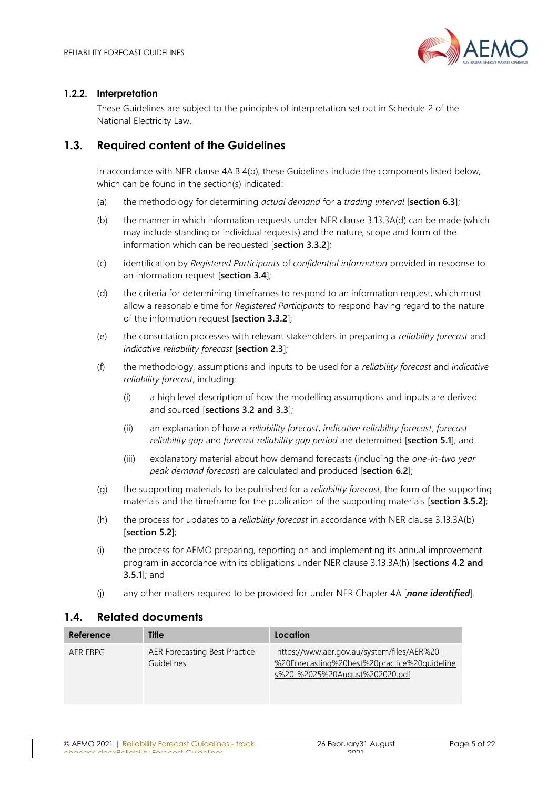

#### **1.2.2. Interpretation**

These Guidelines are subject to the principles of interpretation set out in Schedule 2 of the National Electricity Law.

# <span id="page-4-0"></span>**1.3. Required content of the Guidelines**

In accordance with NER clause 4A.B.4(b), these Guidelines include the components listed below, which can be found in the section(s) indicated:

- (a) the methodology for determining *actual demand* for a *trading interval* [**section [6.3](#page-20-1)**];
- (b) the manner in which information requests under NER clause 3.13.3A(d) can be made (which may include standing or individual requests) and the nature, scope and form of the information which can be requested [**section [3.3.2](#page-13-0)**];
- (c) identification by *Registered Participants* of *confidential information* provided in response to an information request [**sectio[n 3.4](#page-14-0)**];
- (d) the criteria for determining timeframes to respond to an information request, which must allow a reasonable time for *Registered Participants* to respond having regard to the nature of the information request [**section [3.3.2](#page-13-0)**];
- (e) the consultation processes with relevant stakeholders in preparing a *reliability forecast* and *indicative reliability forecast* [**section [2.3](#page-7-0)**];
- (f) the methodology, assumptions and inputs to be used for a *reliability forecast* and *indicative reliability forecast*, including:
	- (i) a high level description of how the modelling assumptions and inputs are derived and sourced [**sections [3.2](#page-11-0) and [3.3](#page-12-0)**];
	- (ii) an explanation of how a *reliability forecast*, *indicative reliability forecast*, *forecast reliability gap* and *forecast reliability gap period* are determined [**section [5.1](#page-18-1)**]; and
	- (iii) explanatory material about how demand forecasts (including the *one-in-two year peak demand forecast*) are calculated and produced [**section [6.2](#page-20-0)**];
- (g) the supporting materials to be published for a *reliability forecast*, the form of the supporting materials and the timeframe for the publication of the supporting materials [**section [3.5.2](#page-15-0)**];
- (h) the process for updates to a *reliability forecast* in accordance with NER clause 3.13.3A(b) [**section [5.2](#page-18-2)**];
- (i) the process for AEMO preparing, reporting on and implementing its annual improvement program in accordance with its obligations under NER clause 3.13.3A(h) [**sections [4.2](#page-17-1) and [3.5.1](#page-15-1)**]; and
- (j) any other matters required to be provided for under NER Chapter 4A [*none identified*].

## <span id="page-4-1"></span>**1.4. Related documents**

| Reference | <b>Title</b>                                | Location                                                                                                                      |
|-----------|---------------------------------------------|-------------------------------------------------------------------------------------------------------------------------------|
| AER FBPG  | AER Forecasting Best Practice<br>Guidelines | https://www.aer.gov.au/system/files/AER%20-<br>%20Forecasting%20best%20practice%20quideline<br>s%20-%2025%20August%202020.pdf |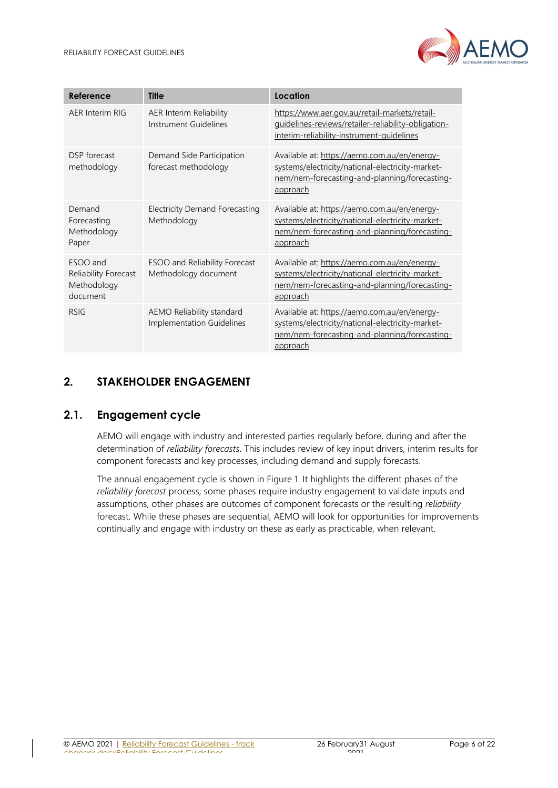

| Reference                                                   | <b>Title</b>                                           | Location                                                                                                                                                             |
|-------------------------------------------------------------|--------------------------------------------------------|----------------------------------------------------------------------------------------------------------------------------------------------------------------------|
| AER Interim RIG                                             | AER Interim Reliability<br>Instrument Guidelines       | https://www.aer.gov.au/retail-markets/retail-<br>guidelines-reviews/retailer-reliability-obligation-<br>interim-reliability-instrument-guidelines                    |
| DSP forecast<br>methodology                                 | Demand Side Participation<br>forecast methodology      | Available at: https://aemo.com.au/en/energy-<br>systems/electricity/national-electricity-market-<br>nem/nem-forecasting-and-planning/forecasting-<br>approach        |
| Demand<br>Forecasting<br>Methodology<br>Paper               | <b>Electricity Demand Forecasting</b><br>Methodology   | Available at: https://aemo.com.au/en/energy-<br>systems/electricity/national-electricity-market-<br>nem/nem-forecasting-and-planning/forecasting-<br><u>approach</u> |
| ESOO and<br>Reliability Forecast<br>Methodology<br>document | ESOO and Reliability Forecast<br>Methodology document  | Available at: https://aemo.com.au/en/energy-<br>systems/electricity/national-electricity-market-<br>nem/nem-forecasting-and-planning/forecasting-<br><u>approach</u> |
| <b>RSIG</b>                                                 | AEMO Reliability standard<br>Implementation Guidelines | Available at: https://aemo.com.au/en/energy-<br>systems/electricity/national-electricity-market-<br>nem/nem-forecasting-and-planning/forecasting-<br>approach        |

# <span id="page-5-0"></span>**2. STAKEHOLDER ENGAGEMENT**

# <span id="page-5-1"></span>**2.1. Engagement cycle**

AEMO will engage with industry and interested parties regularly before, during and after the determination of *reliability forecasts*. This includes review of key input drivers, interim results for component forecasts and key processes, including demand and supply forecasts.

The annual engagement cycle is shown i[n Figure 1.](#page-6-2) It highlights the different phases of the *reliability forecast* process; some phases require industry engagement to validate inputs and assumptions, other phases are outcomes of component forecasts or the resulting *reliability* forecast. While these phases are sequential, AEMO will look for opportunities for improvements continually and engage with industry on these as early as practicable, when relevant.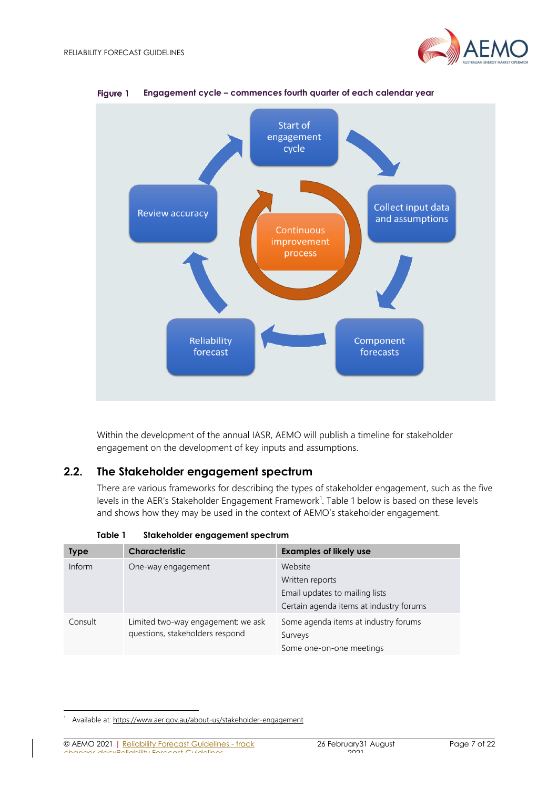



<span id="page-6-2"></span>Figure 1 **Engagement cycle – commences fourth quarter of each calendar year**

Within the development of the annual IASR, AEMO will publish a timeline for stakeholder engagement on the development of key inputs and assumptions.

## <span id="page-6-0"></span>**2.2. The Stakeholder engagement spectrum**

There are various frameworks for describing the types of stakeholder engagement, such as the five levels in the AER's Stakeholder Engagement Framework<sup>1</sup>. [Table 1](#page-6-1) below is based on these levels and shows how they may be used in the context of AEMO's stakeholder engagement.

<span id="page-6-1"></span>

| <b>Type</b> | <b>Characteristic</b>                                                 | <b>Examples of likely use</b>                                                                           |
|-------------|-----------------------------------------------------------------------|---------------------------------------------------------------------------------------------------------|
| Inform      | One-way engagement                                                    | Website<br>Written reports<br>Email updates to mailing lists<br>Certain agenda items at industry forums |
| Consult     | Limited two-way engagement: we ask<br>questions, stakeholders respond | Some agenda items at industry forums<br>Surveys<br>Some one-on-one meetings                             |

**Table 1 Stakeholder engagement spectrum**

© AEMO 2021 | Reliability Forecast Guidelines - track changes.dockbellity Forecast Guidelines

<sup>&</sup>lt;sup>1</sup> Available at[: https://www.aer.gov.au/about-us/stakeholder-engagement](https://www.aer.gov.au/about-us/stakeholder-engagement)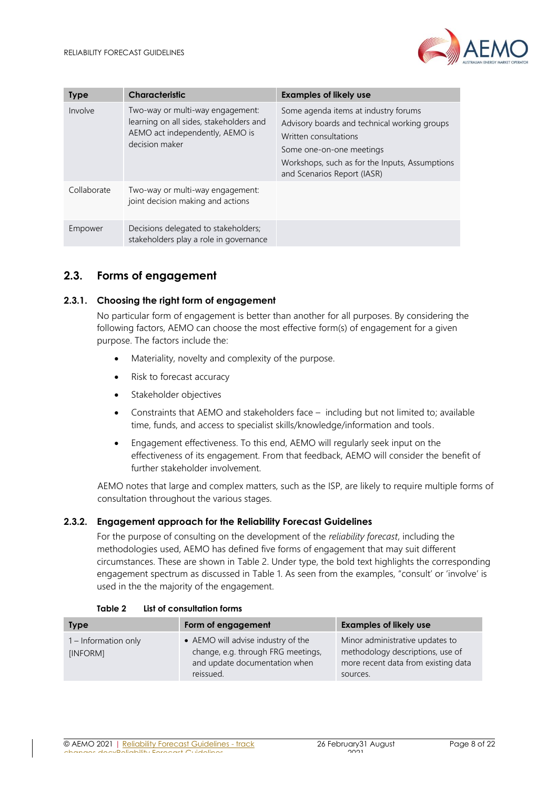

| <b>Type</b> | <b>Characteristic</b>                                                                                                            | <b>Examples of likely use</b>                                                                                                                                                                                              |
|-------------|----------------------------------------------------------------------------------------------------------------------------------|----------------------------------------------------------------------------------------------------------------------------------------------------------------------------------------------------------------------------|
| Involve     | Two-way or multi-way engagement:<br>learning on all sides, stakeholders and<br>AEMO act independently, AEMO is<br>decision maker | Some agenda items at industry forums<br>Advisory boards and technical working groups<br>Written consultations<br>Some one-on-one meetings<br>Workshops, such as for the Inputs, Assumptions<br>and Scenarios Report (IASR) |
| Collaborate | Two-way or multi-way engagement:<br>joint decision making and actions                                                            |                                                                                                                                                                                                                            |
| Empower     | Decisions delegated to stakeholders;<br>stakeholders play a role in governance                                                   |                                                                                                                                                                                                                            |

# <span id="page-7-0"></span>**2.3. Forms of engagement**

#### **2.3.1. Choosing the right form of engagement**

No particular form of engagement is better than another for all purposes. By considering the following factors, AEMO can choose the most effective form(s) of engagement for a given purpose. The factors include the:

- Materiality, novelty and complexity of the purpose.
- Risk to forecast accuracy
- Stakeholder objectives
- Constraints that AEMO and stakeholders face including but not limited to; available time, funds, and access to specialist skills/knowledge/information and tools.
- Engagement effectiveness. To this end, AEMO will regularly seek input on the effectiveness of its engagement. From that feedback, AEMO will consider the benefit of further stakeholder involvement.

AEMO notes that large and complex matters, such as the ISP, are likely to require multiple forms of consultation throughout the various stages.

#### **2.3.2. Engagement approach for the Reliability Forecast Guidelines**

For the purpose of consulting on the development of the *reliability forecast*, including the methodologies used, AEMO has defined five forms of engagement that may suit different circumstances. These are shown in [Table 2.](#page-7-1) Under type, the bold text highlights the corresponding engagement spectrum as discussed in [Table 1.](#page-6-1) As seen from the examples, "consult' or 'involve' is used in the the majority of the engagement.

<span id="page-7-1"></span>

| <b>Type</b>                      | Form of engagement                                                                                                     | <b>Examples of likely use</b>                                                                                          |
|----------------------------------|------------------------------------------------------------------------------------------------------------------------|------------------------------------------------------------------------------------------------------------------------|
| 1 – Information only<br>[INFORM] | • AEMO will advise industry of the<br>change, e.g. through FRG meetings,<br>and update documentation when<br>reissued. | Minor administrative updates to<br>methodology descriptions, use of<br>more recent data from existing data<br>sources. |

#### **Table 2 List of consultation forms**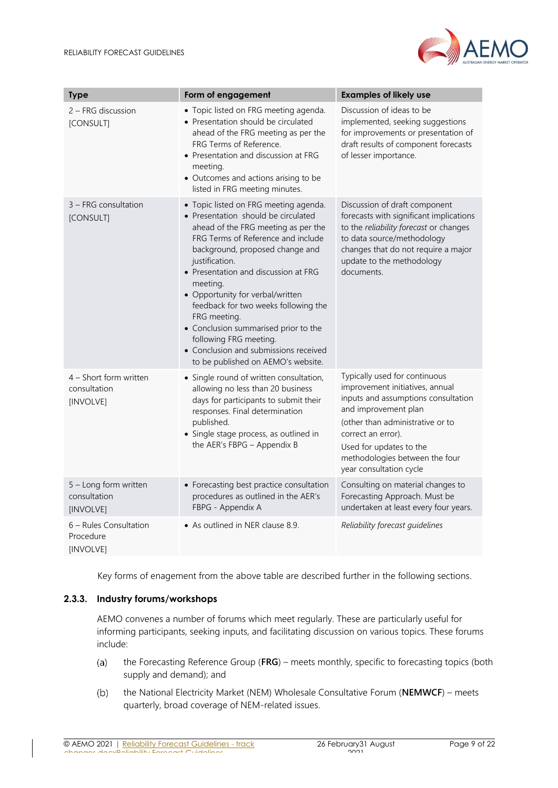

| <b>Type</b>                                         | Form of engagement                                                                                                                                                                                                                                                                                                                                                                                                                                                                                              | <b>Examples of likely use</b>                                                                                                                                                                                                                                                     |
|-----------------------------------------------------|-----------------------------------------------------------------------------------------------------------------------------------------------------------------------------------------------------------------------------------------------------------------------------------------------------------------------------------------------------------------------------------------------------------------------------------------------------------------------------------------------------------------|-----------------------------------------------------------------------------------------------------------------------------------------------------------------------------------------------------------------------------------------------------------------------------------|
| 2 – FRG discussion<br>[CONSULT]                     | • Topic listed on FRG meeting agenda.<br>• Presentation should be circulated<br>ahead of the FRG meeting as per the<br>FRG Terms of Reference.<br>• Presentation and discussion at FRG<br>meeting.<br>• Outcomes and actions arising to be<br>listed in FRG meeting minutes.                                                                                                                                                                                                                                    | Discussion of ideas to be<br>implemented, seeking suggestions<br>for improvements or presentation of<br>draft results of component forecasts<br>of lesser importance.                                                                                                             |
| 3 - FRG consultation<br>[CONSULT]                   | • Topic listed on FRG meeting agenda.<br>• Presentation should be circulated<br>ahead of the FRG meeting as per the<br>FRG Terms of Reference and include<br>background, proposed change and<br>justification.<br>• Presentation and discussion at FRG<br>meeting.<br>• Opportunity for verbal/written<br>feedback for two weeks following the<br>FRG meeting.<br>• Conclusion summarised prior to the<br>following FRG meeting.<br>• Conclusion and submissions received<br>to be published on AEMO's website. | Discussion of draft component<br>forecasts with significant implications<br>to the reliability forecast or changes<br>to data source/methodology<br>changes that do not require a major<br>update to the methodology<br>documents.                                                |
| 4 - Short form written<br>consultation<br>[INVOLVE] | • Single round of written consultation,<br>allowing no less than 20 business<br>days for participants to submit their<br>responses. Final determination<br>published.<br>• Single stage process, as outlined in<br>the AER's FBPG - Appendix B                                                                                                                                                                                                                                                                  | Typically used for continuous<br>improvement initiatives, annual<br>inputs and assumptions consultation<br>and improvement plan<br>(other than administrative or to<br>correct an error).<br>Used for updates to the<br>methodologies between the four<br>year consultation cycle |
| 5 - Long form written<br>consultation<br>[INVOLVE]  | • Forecasting best practice consultation<br>procedures as outlined in the AER's<br>FBPG - Appendix A                                                                                                                                                                                                                                                                                                                                                                                                            | Consulting on material changes to<br>Forecasting Approach. Must be<br>undertaken at least every four years.                                                                                                                                                                       |
| 6 - Rules Consultation<br>Procedure<br>[INVOLVE]    | • As outlined in NER clause 8.9.                                                                                                                                                                                                                                                                                                                                                                                                                                                                                | Reliability forecast guidelines                                                                                                                                                                                                                                                   |

Key forms of enagement from the above table are described further in the following sections.

#### **2.3.3. Industry forums/workshops**

AEMO convenes a number of forums which meet regularly. These are particularly useful for informing participants, seeking inputs, and facilitating discussion on various topics. These forums include:

- $(a)$ the Forecasting Reference Group (**FRG**) – meets monthly, specific to forecasting topics (both supply and demand); and
- the National Electricity Market (NEM) Wholesale Consultative Forum (**NEMWCF**) meets  $(b)$ quarterly, broad coverage of NEM-related issues.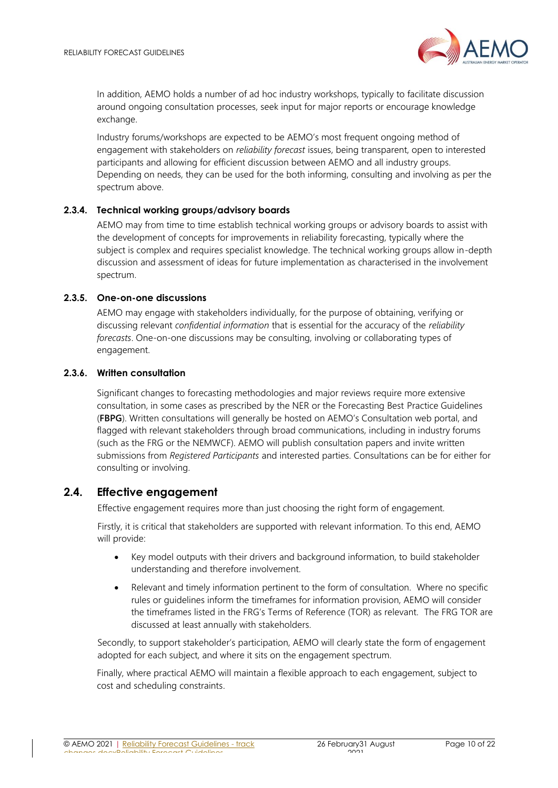

In addition, AEMO holds a number of ad hoc industry workshops, typically to facilitate discussion around ongoing consultation processes, seek input for major reports or encourage knowledge exchange.

Industry forums/workshops are expected to be AEMO's most frequent ongoing method of engagement with stakeholders on *reliability forecast* issues, being transparent, open to interested participants and allowing for efficient discussion between AEMO and all industry groups. Depending on needs, they can be used for the both informing, consulting and involving as per the spectrum above.

#### **2.3.4. Technical working groups/advisory boards**

AEMO may from time to time establish technical working groups or advisory boards to assist with the development of concepts for improvements in reliability forecasting, typically where the subject is complex and requires specialist knowledge. The technical working groups allow in-depth discussion and assessment of ideas for future implementation as characterised in the involvement spectrum.

#### **2.3.5. One-on-one discussions**

AEMO may engage with stakeholders individually, for the purpose of obtaining, verifying or discussing relevant *confidential information* that is essential for the accuracy of the *reliability forecasts*. One-on-one discussions may be consulting, involving or collaborating types of engagement.

#### **2.3.6. Written consultation**

Significant changes to forecasting methodologies and major reviews require more extensive consultation, in some cases as prescribed by the NER or the Forecasting Best Practice Guidelines (**FBPG**). Written consultations will generally be hosted on AEMO's Consultation web portal, and flagged with relevant stakeholders through broad communications, including in industry forums (such as the FRG or the NEMWCF). AEMO will publish consultation papers and invite written submissions from *Registered Participants* and interested parties. Consultations can be for either for consulting or involving.

## <span id="page-9-0"></span>**2.4. Effective engagement**

Effective engagement requires more than just choosing the right form of engagement.

Firstly, it is critical that stakeholders are supported with relevant information. To this end, AEMO will provide:

- Key model outputs with their drivers and background information, to build stakeholder understanding and therefore involvement.
- Relevant and timely information pertinent to the form of consultation. Where no specific rules or guidelines inform the timeframes for information provision, AEMO will consider the timeframes listed in the FRG's Terms of Reference (TOR) as relevant. The FRG TOR are discussed at least annually with stakeholders.

Secondly, to support stakeholder's participation, AEMO will clearly state the form of engagement adopted for each subject, and where it sits on the engagement spectrum.

Finally, where practical AEMO will maintain a flexible approach to each engagement, subject to cost and scheduling constraints.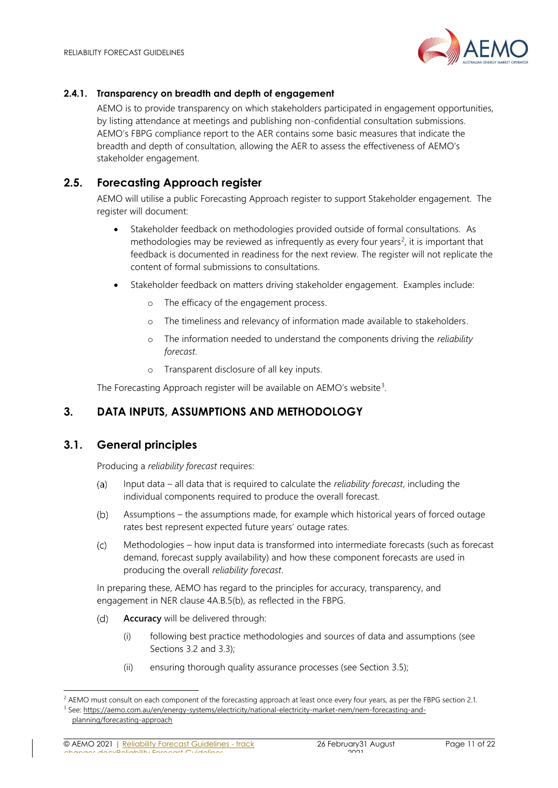

#### **2.4.1. Transparency on breadth and depth of engagement**

AEMO is to provide transparency on which stakeholders participated in engagement opportunities, by listing attendance at meetings and publishing non-confidential consultation submissions. AEMO's FBPG compliance report to the AER contains some basic measures that indicate the breadth and depth of consultation, allowing the AER to assess the effectiveness of AEMO's stakeholder engagement.

# <span id="page-10-0"></span>**2.5. Forecasting Approach register**

AEMO will utilise a public Forecasting Approach register to support Stakeholder engagement. The register will document:

- Stakeholder feedback on methodologies provided outside of formal consultations. As methodologies may be reviewed as infrequently as every four years<sup>2</sup>, it is important that feedback is documented in readiness for the next review. The register will not replicate the content of formal submissions to consultations.
- Stakeholder feedback on matters driving stakeholder engagement. Examples include:
	- o The efficacy of the engagement process.
	- o The timeliness and relevancy of information made available to stakeholders.
	- o The information needed to understand the components driving the *reliability forecast*.
	- o Transparent disclosure of all key inputs.

The Forecasting Approach register will be available on AEMO's website<sup>3</sup>.

# <span id="page-10-1"></span>**3. DATA INPUTS, ASSUMPTIONS AND METHODOLOGY**

## <span id="page-10-2"></span>**3.1. General principles**

Producing a *reliability forecast* requires:

- Input data all data that is required to calculate the *reliability forecast*, including the  $(a)$ individual components required to produce the overall forecast.
- Assumptions the assumptions made, for example which historical years of forced outage  $(b)$ rates best represent expected future years' outage rates.
- Methodologies how input data is transformed into intermediate forecasts (such as forecast  $(c)$ demand, forecast supply availability) and how these component forecasts are used in producing the overall *reliability forecast*.

In preparing these, AEMO has regard to the principles for accuracy, transparency, and engagement in NER clause 4A.B.5(b), as reflected in the FBPG.

- $(d)$ **Accuracy** will be delivered through:
	- (i) following best practice methodologies and sources of data and assumptions (see Sections [3.2](#page-11-0) and [3.3\)](#page-12-0);
	- (ii) ensuring thorough quality assurance processes (see Section [3.5\)](#page-14-1);

© AEMO 2021 | Reliability Forecast Guidelines - track changes.docxReliability Forecast Guidelines

<sup>&</sup>lt;sup>2</sup> AEMO must consult on each component of the forecasting approach at least once every four years, as per the FBPG section 2.1. <sup>3</sup> See: [https://aemo.com.au/en/energy-systems/electricity/national-electricity-market-nem/nem-forecasting-and-](https://aemo.com.au/en/energy-systems/electricity/national-electricity-market-nem/nem-forecasting-and-planning/forecasting-approach)

[planning/forecasting-approach](https://aemo.com.au/en/energy-systems/electricity/national-electricity-market-nem/nem-forecasting-and-planning/forecasting-approach)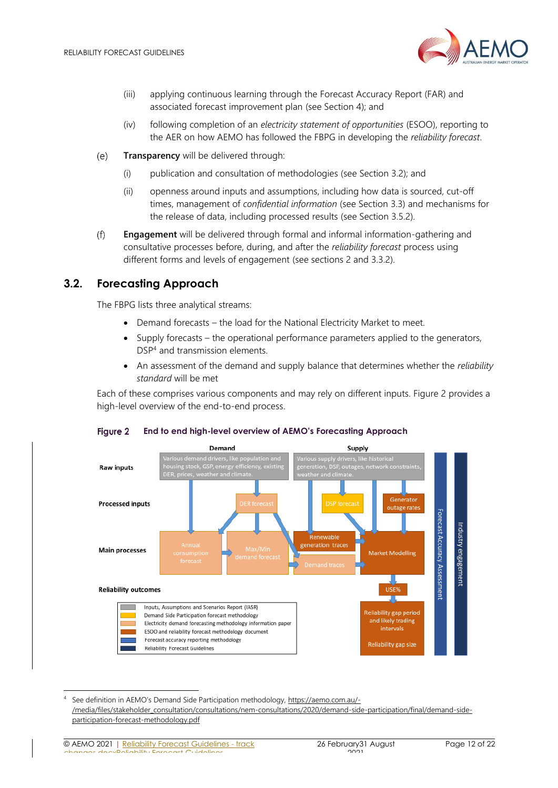

- (iii) applying continuous learning through the Forecast Accuracy Report (FAR) and associated forecast improvement plan (see Section [4\)](#page-16-0); and
- (iv) following completion of an *electricity statement of opportunities* (ESOO), reporting to the AER on how AEMO has followed the FBPG in developing the *reliability forecast*.
- **Transparency** will be delivered through:  $(e)$ 
	- (i) publication and consultation of methodologies (see Section [3.2\)](#page-11-0); and
	- (ii) openness around inputs and assumptions, including how data is sourced, cut-off times, management of *confidential information* (see Section [3.3\)](#page-12-0) and mechanisms for the release of data, including processed results (see Section [3.5.2\)](#page-15-0).
- $(f)$ **Engagement** will be delivered through formal and informal information-gathering and consultative processes before, during, and after the *reliability forecast* process using different forms and levels of engagement (see sections [2](#page-5-0) and [3.3.2\)](#page-13-0).

# <span id="page-11-0"></span>**3.2. Forecasting Approach**

The FBPG lists three analytical streams:

- Demand forecasts the load for the National Electricity Market to meet.
- Supply forecasts the operational performance parameters applied to the generators, DSP<sup>4</sup> and transmission elements.
- An assessment of the demand and supply balance that determines whether the *reliability standard* will be met

Each of these comprises various components and may rely on different inputs. [Figure 2](#page-11-1) provides a high-level overview of the end-to-end process.



#### <span id="page-11-1"></span>Figure 2 **End to end high-level overview of AEMO's Forecasting Approach**

See definition in AEMO's Demand Side Participation methodology, [https://aemo.com.au/-](https://aemo.com.au/-/media/files/stakeholder_consultation/consultations/nem-consultations/2020/demand-side-participation/final/demand-side-participation-forecast-methodology.pdf) [/media/files/stakeholder\\_consultation/consultations/nem-consultations/2020/demand-side-participation/final/demand-side](https://aemo.com.au/-/media/files/stakeholder_consultation/consultations/nem-consultations/2020/demand-side-participation/final/demand-side-participation-forecast-methodology.pdf)[participation-forecast-methodology.pdf](https://aemo.com.au/-/media/files/stakeholder_consultation/consultations/nem-consultations/2020/demand-side-participation/final/demand-side-participation-forecast-methodology.pdf)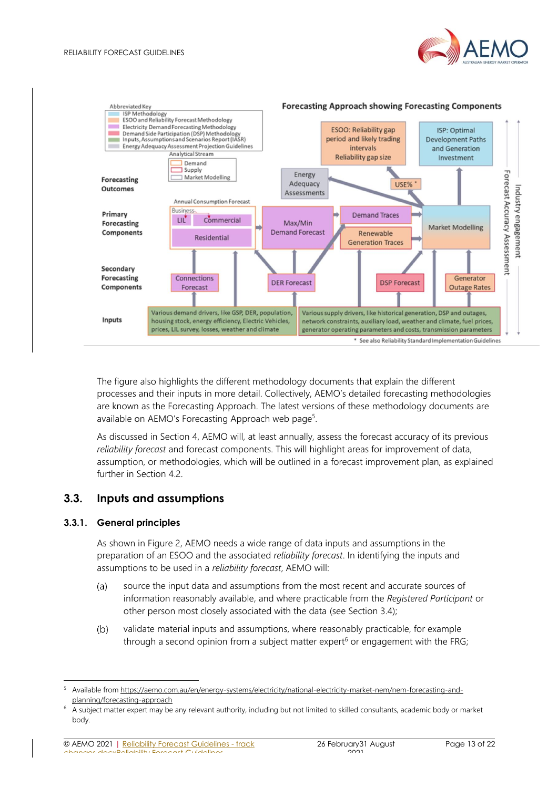



#### The figure also highlights the different methodology documents that explain the different processes and their inputs in more detail. Collectively, AEMO's detailed forecasting methodologies are known as the Forecasting Approach. The latest versions of these methodology documents are available on AEMO's Forecasting Approach web page<sup>5</sup>.

As discussed in Section [4,](#page-16-0) AEMO will, at least annually, assess the forecast accuracy of its previous *reliability forecast* and forecast components. This will highlight areas for improvement of data, assumption, or methodologies, which will be outlined in a forecast improvement plan, as explained further in Section [4.2.](#page-17-1)

# <span id="page-12-0"></span>**3.3. Inputs and assumptions**

#### <span id="page-12-1"></span>**3.3.1. General principles**

As shown in [Figure 2,](#page-11-1) AEMO needs a wide range of data inputs and assumptions in the preparation of an ESOO and the associated *reliability forecast*. In identifying the inputs and assumptions to be used in a *reliability forecast*, AEMO will:

- $(a)$ source the input data and assumptions from the most recent and accurate sources of information reasonably available, and where practicable from the *Registered Participant* or other person most closely associated with the data (see Section [3.4\)](#page-14-0);
- $(b)$ validate material inputs and assumptions, where reasonably practicable, for example through a second opinion from a subject matter expert<sup>6</sup> or engagement with the FRG;

Available fro[m https://aemo.com.au/en/energy-systems/electricity/national-electricity-market-nem/nem-forecasting-and](https://aemo.com.au/en/energy-systems/electricity/national-electricity-market-nem/nem-forecasting-and-planning/forecasting-approach)[planning/forecasting-approach](https://aemo.com.au/en/energy-systems/electricity/national-electricity-market-nem/nem-forecasting-and-planning/forecasting-approach)

<sup>6</sup> A subject matter expert may be any relevant authority, including but not limited to skilled consultants, academic body or market body.

<sup>©</sup> AEMO 2021 | Reliability Forecast Guidelines - track changes.docxReliability Forecast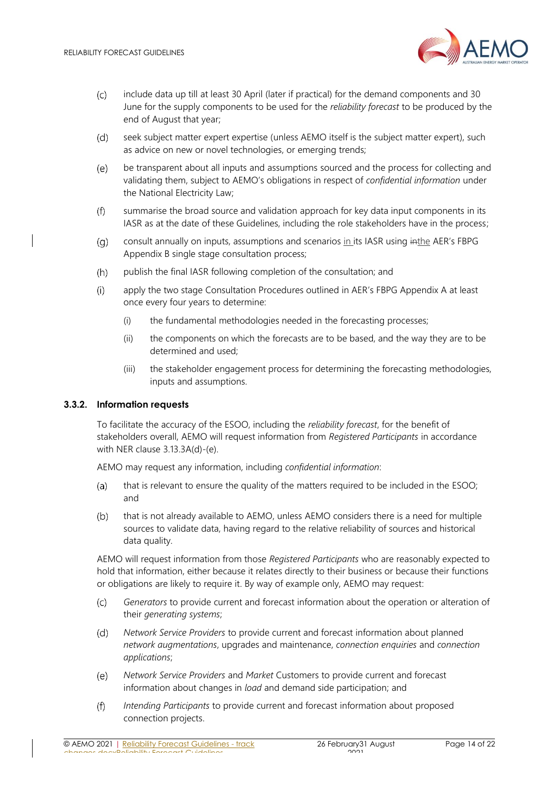

- $(C)$ include data up till at least 30 April (later if practical) for the demand components and 30 June for the supply components to be used for the *reliability forecast* to be produced by the end of August that year;
- $(d)$ seek subject matter expert expertise (unless AEMO itself is the subject matter expert), such as advice on new or novel technologies, or emerging trends;
- $(e)$ be transparent about all inputs and assumptions sourced and the process for collecting and validating them, subject to AEMO's obligations in respect of *confidential information* under the National Electricity Law;
- summarise the broad source and validation approach for key data input components in its  $(f)$ IASR as at the date of these Guidelines, including the role stakeholders have in the process;
- consult annually on inputs, assumptions and scenarios in its IASR using inthe AER's FBPG  $(a)$ Appendix B single stage consultation process;
- $(h)$ publish the final IASR following completion of the consultation; and
- $(i)$ apply the two stage Consultation Procedures outlined in AER's FBPG Appendix A at least once every four years to determine:
	- (i) the fundamental methodologies needed in the forecasting processes;
	- (ii) the components on which the forecasts are to be based, and the way they are to be determined and used;
	- (iii) the stakeholder engagement process for determining the forecasting methodologies, inputs and assumptions.

#### <span id="page-13-0"></span>**3.3.2. Information requests**

To facilitate the accuracy of the ESOO, including the *reliability forecast*, for the benefit of stakeholders overall, AEMO will request information from *Registered Participants* in accordance with NER clause 3.13.3A(d)-(e).

AEMO may request any information, including *confidential information*:

- $(a)$ that is relevant to ensure the quality of the matters required to be included in the ESOO; and
- $(b)$ that is not already available to AEMO, unless AEMO considers there is a need for multiple sources to validate data, having regard to the relative reliability of sources and historical data quality.

AEMO will request information from those *Registered Participants* who are reasonably expected to hold that information, either because it relates directly to their business or because their functions or obligations are likely to require it. By way of example only, AEMO may request:

- $(c)$ *Generators* to provide current and forecast information about the operation or alteration of their *generating systems*;
- *Network Service Providers* to provide current and forecast information about planned  $(d)$ *network augmentations*, upgrades and maintenance, *connection enquiries* and *connection applications*;
- $(e)$ *Network Service Providers* and *Market* Customers to provide current and forecast information about changes in *load* and demand side participation; and
- $(f)$ *Intending Participants* to provide current and forecast information about proposed connection projects.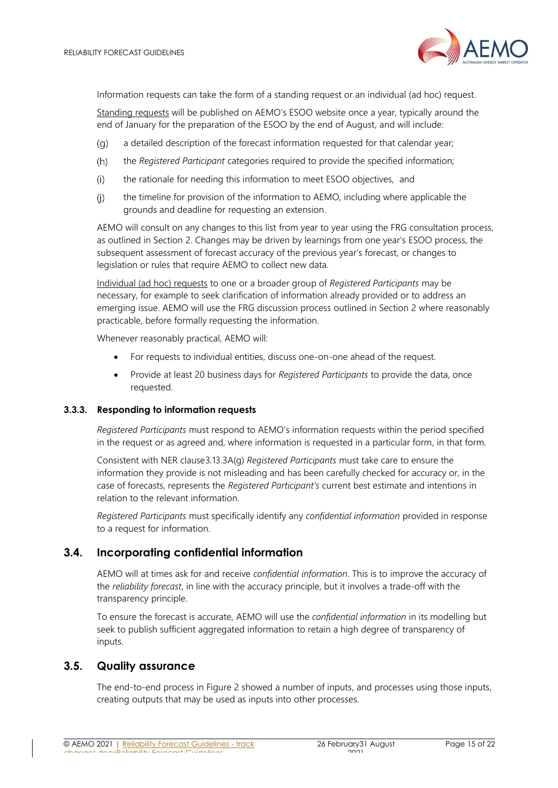

Information requests can take the form of a standing request or an individual (ad hoc) request.

Standing requests will be published on AEMO's ESOO website once a year, typically around the end of January for the preparation of the ESOO by the end of August, and will include:

- a detailed description of the forecast information requested for that calendar year;  $(q)$
- $(h)$ the *Registered Participant* categories required to provide the specified information;
- the rationale for needing this information to meet ESOO objectives, and  $(i)$
- $(i)$ the timeline for provision of the information to AEMO, including where applicable the grounds and deadline for requesting an extension.

AEMO will consult on any changes to this list from year to year using the FRG consultation process, as outlined in Section [2](#page-5-0). Changes may be driven by learnings from one year's ESOO process, the subsequent assessment of forecast accuracy of the previous year's forecast, or changes to legislation or rules that require AEMO to collect new data.

Individual (ad hoc) requests to one or a broader group of *Registered Participants* may be necessary, for example to seek clarification of information already provided or to address an emerging issue. AEMO will use the FRG discussion process outlined in Section [2](#page-5-0) where reasonably practicable, before formally requesting the information.

Whenever reasonably practical, AEMO will:

- For requests to individual entities, discuss one-on-one ahead of the request.
- Provide at least 20 business days for *Registered Participants* to provide the data, once requested.

#### **3.3.3. Responding to information requests**

*Registered Participants* must respond to AEMO's information requests within the period specified in the request or as agreed and, where information is requested in a particular form, in that form.

Consistent with NER clause3.13.3A(g) *Registered Participants* must take care to ensure the information they provide is not misleading and has been carefully checked for accuracy or, in the case of forecasts, represents the *Registered Participant's* current best estimate and intentions in relation to the relevant information.

*Registered Participants* must specifically identify any *confidential information* provided in response to a request for information.

## <span id="page-14-0"></span>**3.4. Incorporating confidential information**

AEMO will at times ask for and receive *confidential information*. This is to improve the accuracy of the *reliability forecast*, in line with the accuracy principle, but it involves a trade-off with the transparency principle.

To ensure the forecast is accurate, AEMO will use the *confidential information* in its modelling but seek to publish sufficient aggregated information to retain a high degree of transparency of inputs.

#### <span id="page-14-1"></span>**3.5. Quality assurance**

The end-to-end process in [Figure 2](#page-11-1) showed a number of inputs, and processes using those inputs, creating outputs that may be used as inputs into other processes.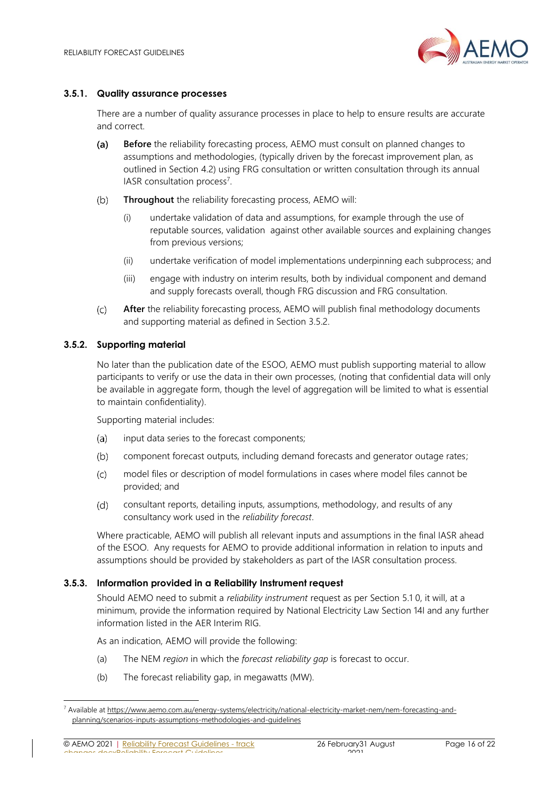

#### <span id="page-15-1"></span>**3.5.1. Quality assurance processes**

There are a number of quality assurance processes in place to help to ensure results are accurate and correct.

- $(a)$ **Before** the reliability forecasting process, AEMO must consult on planned changes to assumptions and methodologies, (typically driven by the forecast improvement plan, as outlined in Section [4.2\)](#page-17-1) using FRG consultation or written consultation through its annual IASR consultation process<sup>7</sup>.
- $(b)$ **Throughout** the reliability forecasting process, AEMO will:
	- (i) undertake validation of data and assumptions, for example through the use of reputable sources, validation against other available sources and explaining changes from previous versions;
	- (ii) undertake verification of model implementations underpinning each subprocess; and
	- (iii) engage with industry on interim results, both by individual component and demand and supply forecasts overall, though FRG discussion and FRG consultation.
- $(c)$ **After** the reliability forecasting process, AEMO will publish final methodology documents and supporting material as defined in Section [3.5.2.](#page-15-0)

#### <span id="page-15-0"></span>**3.5.2. Supporting material**

No later than the publication date of the ESOO, AEMO must publish supporting material to allow participants to verify or use the data in their own processes, (noting that confidential data will only be available in aggregate form, though the level of aggregation will be limited to what is essential to maintain confidentiality).

Supporting material includes:

- input data series to the forecast components;  $(a)$
- $(b)$ component forecast outputs, including demand forecasts and generator outage rates;
- $(c)$ model files or description of model formulations in cases where model files cannot be provided; and
- consultant reports, detailing inputs, assumptions, methodology, and results of any  $(d)$ consultancy work used in the *reliability forecast*.

Where practicable, AEMO will publish all relevant inputs and assumptions in the final IASR ahead of the ESOO. Any requests for AEMO to provide additional information in relation to inputs and assumptions should be provided by stakeholders as part of the IASR consultation process.

#### <span id="page-15-2"></span>**3.5.3. Information provided in a Reliability Instrument request**

Should AEMO need to submit a *reliability instrument* request as per Section [5.1](#page-18-1) [0,](#page-18-3) it will, at a minimum, provide the information required by National Electricity Law Section 14I and any further information listed in the AER Interim RIG.

As an indication, AEMO will provide the following:

- (a) The NEM *region* in which the *forecast reliability gap* is forecast to occur.
- (b) The forecast reliability gap, in megawatts (MW).

© AEMO 2021 | Reliability Forecast Guidelines - track changes.docxReliability Forecast Guidelines

<sup>7</sup> Available a[t https://www.aemo.com.au/energy-systems/electricity/national-electricity-market-nem/nem-forecasting-and](https://www.aemo.com.au/energy-systems/electricity/national-electricity-market-nem/nem-forecasting-and-planning/scenarios-inputs-assumptions-methodologies-and-guidelines)[planning/scenarios-inputs-assumptions-methodologies-and-guidelines](https://www.aemo.com.au/energy-systems/electricity/national-electricity-market-nem/nem-forecasting-and-planning/scenarios-inputs-assumptions-methodologies-and-guidelines)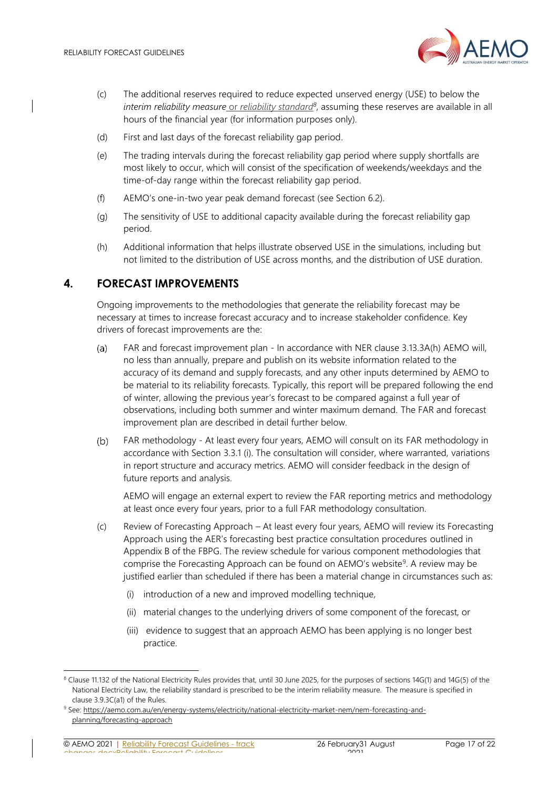

- (c) The additional reserves required to reduce expected unserved energy (USE) to below the *interim reliability measure* or *reliability standard<sup>8</sup>* , assuming these reserves are available in all hours of the financial year (for information purposes only).
- (d) First and last days of the forecast reliability gap period.
- (e) The trading intervals during the forecast reliability gap period where supply shortfalls are most likely to occur, which will consist of the specification of weekends/weekdays and the time-of-day range within the forecast reliability gap period.
- (f) AEMO's one-in-two year peak demand forecast (see Section 6.2).
- (g) The sensitivity of USE to additional capacity available during the forecast reliability gap period.
- (h) Additional information that helps illustrate observed USE in the simulations, including but not limited to the distribution of USE across months, and the distribution of USE duration.

# <span id="page-16-0"></span>**4. FORECAST IMPROVEMENTS**

Ongoing improvements to the methodologies that generate the reliability forecast may be necessary at times to increase forecast accuracy and to increase stakeholder confidence. Key drivers of forecast improvements are the:

- $(a)$ FAR and forecast improvement plan - In accordance with NER clause 3.13.3A(h) AEMO will, no less than annually, prepare and publish on its website information related to the accuracy of its demand and supply forecasts, and any other inputs determined by AEMO to be material to its reliability forecasts. Typically, this report will be prepared following the end of winter, allowing the previous year's forecast to be compared against a full year of observations, including both summer and winter maximum demand. The FAR and forecast improvement plan are described in detail further below.
- $(b)$ FAR methodology - At least every four years, AEMO will consult on its FAR methodology in accordance with Section [3.3.1](#page-12-1) (i). The consultation will consider, where warranted, variations in report structure and accuracy metrics. AEMO will consider feedback in the design of future reports and analysis.

AEMO will engage an external expert to review the FAR reporting metrics and methodology at least once every four years, prior to a full FAR methodology consultation.

- (c) Review of Forecasting Approach At least every four years, AEMO will review its Forecasting Approach using the AER's forecasting best practice consultation procedures outlined in Appendix B of the FBPG. The review schedule for various component methodologies that comprise the Forecasting Approach can be found on AEMO's website<sup>9</sup>. A review may be justified earlier than scheduled if there has been a material change in circumstances such as:
	- (i) introduction of a new and improved modelling technique,
	- (ii) material changes to the underlying drivers of some component of the forecast, or
	- (iii) evidence to suggest that an approach AEMO has been applying is no longer best practice.

<sup>&</sup>lt;sup>8</sup> Clause 11.132 of the National Electricity Rules provides that, until 30 June 2025, for the purposes of sections 14G(1) and 14G(5) of the National Electricity Law, the reliability standard is prescribed to be the interim reliability measure. The measure is specified in clause 3.9.3C(a1) of the Rules.

<sup>9</sup> See: [https://aemo.com.au/en/energy-systems/electricity/national-electricity-market-nem/nem-forecasting-and](https://aemo.com.au/en/energy-systems/electricity/national-electricity-market-nem/nem-forecasting-and-planning/forecasting-approach)[planning/forecasting-approach](https://aemo.com.au/en/energy-systems/electricity/national-electricity-market-nem/nem-forecasting-and-planning/forecasting-approach)

<sup>©</sup> AEMO 2021 | Reliability Forecast Guidelines - track changes.docxReliability Forecast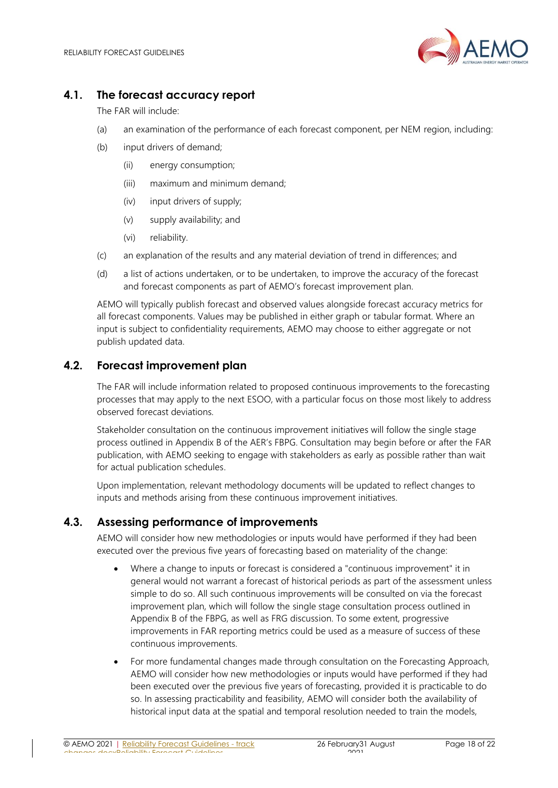

# <span id="page-17-0"></span>**4.1. The forecast accuracy report**

The FAR will include:

- (a) an examination of the performance of each forecast component, per NEM region, including:
- (b) input drivers of demand;
	- (ii) energy consumption;
	- (iii) maximum and minimum demand;
	- (iv) input drivers of supply;
	- (v) supply availability; and
	- (vi) reliability.
- (c) an explanation of the results and any material deviation of trend in differences; and
- (d) a list of actions undertaken, or to be undertaken, to improve the accuracy of the forecast and forecast components as part of AEMO's forecast improvement plan.

AEMO will typically publish forecast and observed values alongside forecast accuracy metrics for all forecast components. Values may be published in either graph or tabular format. Where an input is subject to confidentiality requirements, AEMO may choose to either aggregate or not publish updated data.

# <span id="page-17-1"></span>**4.2. Forecast improvement plan**

The FAR will include information related to proposed continuous improvements to the forecasting processes that may apply to the next ESOO, with a particular focus on those most likely to address observed forecast deviations.

Stakeholder consultation on the continuous improvement initiatives will follow the single stage process outlined in Appendix B of the AER's FBPG. Consultation may begin before or after the FAR publication, with AEMO seeking to engage with stakeholders as early as possible rather than wait for actual publication schedules.

Upon implementation, relevant methodology documents will be updated to reflect changes to inputs and methods arising from these continuous improvement initiatives.

# **4.3. Assessing performance of improvements**

AEMO will consider how new methodologies or inputs would have performed if they had been executed over the previous five years of forecasting based on materiality of the change:

- Where a change to inputs or forecast is considered a "continuous improvement" it in general would not warrant a forecast of historical periods as part of the assessment unless simple to do so. All such continuous improvements will be consulted on via the forecast improvement plan, which will follow the single stage consultation process outlined in Appendix B of the FBPG, as well as FRG discussion. To some extent, progressive improvements in FAR reporting metrics could be used as a measure of success of these continuous improvements.
- For more fundamental changes made through consultation on the Forecasting Approach, AEMO will consider how new methodologies or inputs would have performed if they had been executed over the previous five years of forecasting, provided it is practicable to do so. In assessing practicability and feasibility, AEMO will consider both the availability of historical input data at the spatial and temporal resolution needed to train the models,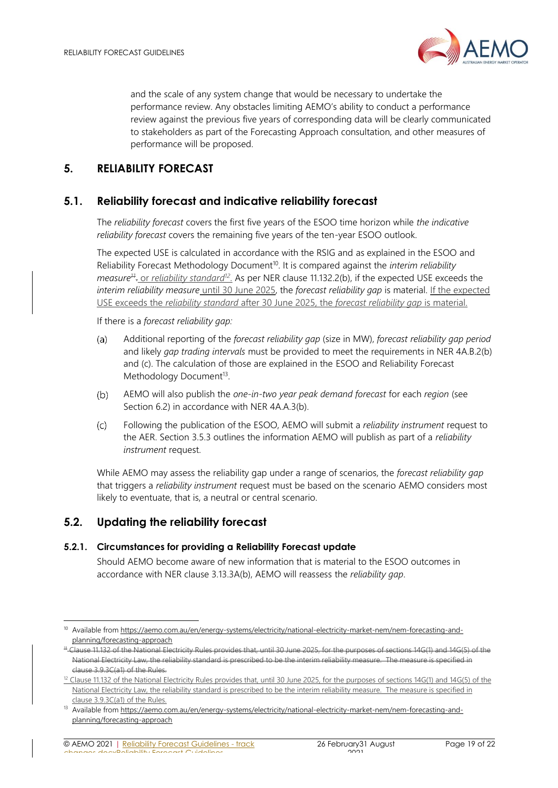

and the scale of any system change that would be necessary to undertake the performance review. Any obstacles limiting AEMO's ability to conduct a performance review against the previous five years of corresponding data will be clearly communicated to stakeholders as part of the Forecasting Approach consultation, and other measures of performance will be proposed.

# <span id="page-18-0"></span>**5. RELIABILITY FORECAST**

# <span id="page-18-1"></span>**5.1. Reliability forecast and indicative reliability forecast**

The *reliability forecast* covers the first five years of the ESOO time horizon while *the indicative reliability forecast* covers the remaining five years of the ten-year ESOO outlook.

The expected USE is calculated in accordance with the RSIG and as explained in the ESOO and Reliability Forecast Methodology Document<sup>10</sup>. It is compared against the *interim reliability measure<sup>11</sup>* . or *reliability standard<sup>12</sup>* . As per NER clause 11.132.2(b), if the expected USE exceeds the *interim reliability measure* until 30 June 2025, the *forecast reliability gap* is material. If the expected USE exceeds the *reliability standard* after 30 June 2025, the *forecast reliability gap* is material.

<span id="page-18-3"></span>If there is a *forecast reliability gap:*

- Additional reporting of the *forecast reliability gap* (size in MW), *forecast reliability gap period*  $(a)$ and likely *gap trading intervals* must be provided to meet the requirements in NER 4A.B.2(b) and (c). The calculation of those are explained in the ESOO and Reliability Forecast Methodology Document<sup>13</sup>.
- AEMO will also publish the *one-in-two year peak demand forecast* for each *region* (see  $(b)$ Section [6.2\)](#page-20-0) in accordance with NER 4A.A.3(b).
- $(c)$ Following the publication of the ESOO, AEMO will submit a *reliability instrument* request to the AER. Sectio[n 3.5.3](#page-15-2) outlines the information AEMO will publish as part of a *reliability instrument* request.

While AEMO may assess the reliability gap under a range of scenarios, the *forecast reliability gap* that triggers a *reliability instrument* request must be based on the scenario AEMO considers most likely to eventuate, that is, a neutral or central scenario.

# <span id="page-18-2"></span>**5.2. Updating the reliability forecast**

#### **5.2.1. Circumstances for providing a Reliability Forecast update**

Should AEMO become aware of new information that is material to the ESOO outcomes in accordance with NER clause 3.13.3A(b), AEMO will reassess the *reliability gap*.

<sup>10</sup> Available fro[m https://aemo.com.au/en/energy-systems/electricity/national-electricity-market-nem/nem-forecasting-and](https://aemo.com.au/en/energy-systems/electricity/national-electricity-market-nem/nem-forecasting-and-planning/forecasting-approach)[planning/forecasting-approach](https://aemo.com.au/en/energy-systems/electricity/national-electricity-market-nem/nem-forecasting-and-planning/forecasting-approach)

<sup>&</sup>lt;sup>11</sup> Clause 11.132 of the National Electricity Rules provides that, until 30 June 2025, for the purposes of sections 14G(1) and 14G(5) of the National Electricity Law, the reliability standard is prescribed to be the interim reliability measure. The measure is specified in clause 3.9.3C(a1) of the Rules.

<sup>&</sup>lt;sup>12</sup> Clause 11.132 of the National Electricity Rules provides that, until 30 June 2025, for the purposes of sections 14G(1) and 14G(5) of the National Electricity Law, the reliability standard is prescribed to be the interim reliability measure. The measure is specified in clause 3.9.3C(a1) of the Rules.

<sup>13</sup> Available fro[m https://aemo.com.au/en/energy-systems/electricity/national-electricity-market-nem/nem-forecasting-and](https://aemo.com.au/en/energy-systems/electricity/national-electricity-market-nem/nem-forecasting-and-planning/forecasting-approach)[planning/forecasting-approach](https://aemo.com.au/en/energy-systems/electricity/national-electricity-market-nem/nem-forecasting-and-planning/forecasting-approach)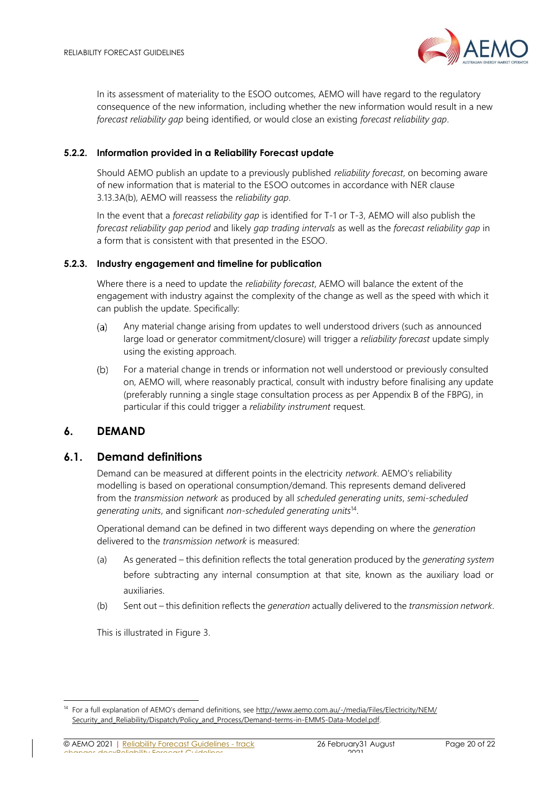

In its assessment of materiality to the ESOO outcomes, AEMO will have regard to the regulatory consequence of the new information, including whether the new information would result in a new *forecast reliability gap* being identified, or would close an existing *forecast reliability gap*.

#### **5.2.2. Information provided in a Reliability Forecast update**

Should AEMO publish an update to a previously published *reliability forecast*, on becoming aware of new information that is material to the ESOO outcomes in accordance with NER clause 3.13.3A(b), AEMO will reassess the *reliability gap*.

In the event that a *forecast reliability gap* is identified for T-1 or T-3, AEMO will also publish the *forecast reliability gap period* and likely *gap trading intervals* as well as the *forecast reliability gap* in a form that is consistent with that presented in the ESOO.

#### **5.2.3. Industry engagement and timeline for publication**

Where there is a need to update the *reliability forecast*, AEMO will balance the extent of the engagement with industry against the complexity of the change as well as the speed with which it can publish the update. Specifically:

- Any material change arising from updates to well understood drivers (such as announced  $(a)$ large load or generator commitment/closure) will trigger a *reliability forecast* update simply using the existing approach.
- For a material change in trends or information not well understood or previously consulted  $(b)$ on, AEMO will, where reasonably practical, consult with industry before finalising any update (preferably running a single stage consultation process as per Appendix B of the FBPG), in particular if this could trigger a *reliability instrument* request.

## <span id="page-19-0"></span>**6. DEMAND**

## <span id="page-19-1"></span>**6.1. Demand definitions**

Demand can be measured at different points in the electricity *network*. AEMO's reliability modelling is based on operational consumption/demand. This represents demand delivered from the *transmission network* as produced by all *scheduled generating units*, *semi-scheduled generating units*, and significant *non-scheduled generating units*<sup>14</sup> .

Operational demand can be defined in two different ways depending on where the *generation* delivered to the *transmission network* is measured:

- (a) As generated this definition reflects the total generation produced by the *generating system* before subtracting any internal consumption at that site, known as the auxiliary load or auxiliaries.
- (b) Sent out this definition reflects the *generation* actually delivered to the *transmission network*.

This is illustrated in [Figure 3.](#page-20-2)

<sup>&</sup>lt;sup>14</sup> For a full explanation of AEMO's demand definitions, see [http://www.aemo.com.au/-/media/Files/Electricity/NEM/](http://www.aemo.com.au/-/media/Files/Electricity/NEM/‌Security_and_Reliability/‌Dispatch/‌Policy_and_Process/Demand-terms-in-EMMS-Data-Model.pdf) [Security\\_and\\_Reliability/Dispatch/Policy\\_and\\_Process/Demand-terms-in-EMMS-Data-Model.pdf.](http://www.aemo.com.au/-/media/Files/Electricity/NEM/‌Security_and_Reliability/‌Dispatch/‌Policy_and_Process/Demand-terms-in-EMMS-Data-Model.pdf)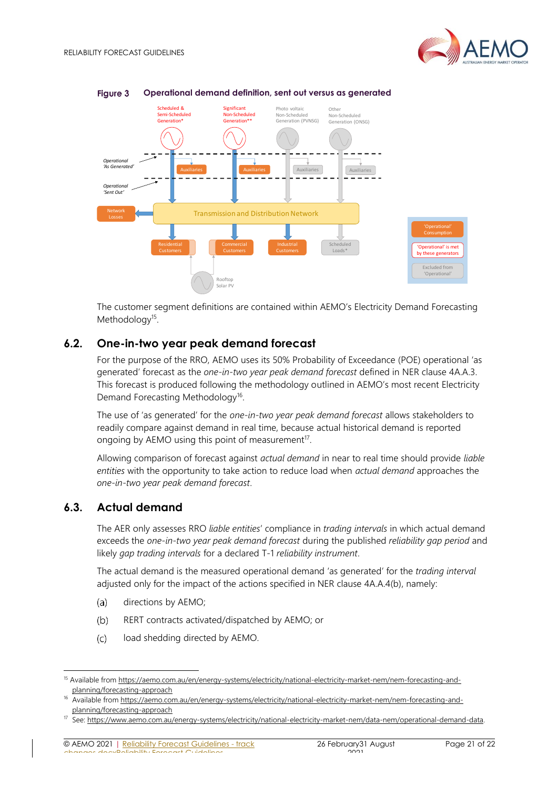

#### <span id="page-20-2"></span>**Figure 3 Operational demand definition, sent out versus as generated**

The customer segment definitions are contained within AEMO's Electricity Demand Forecasting Methodology<sup>15</sup>.

## <span id="page-20-0"></span>**6.2. One-in-two year peak demand forecast**

For the purpose of the RRO, AEMO uses its 50% Probability of Exceedance (POE) operational 'as generated' forecast as the *one-in-two year peak demand forecast* defined in NER clause 4A.A.3. This forecast is produced following the methodology outlined in AEMO's most recent Electricity Demand Forecasting Methodology<sup>16</sup>.

The use of 'as generated' for the *one-in-two year peak demand forecast* allows stakeholders to readily compare against demand in real time, because actual historical demand is reported ongoing by AEMO using this point of measurement $17$ .

Allowing comparison of forecast against *actual demand* in near to real time should provide *liable entities* with the opportunity to take action to reduce load when *actual demand* approaches the *one-in-two year peak demand forecast*.

## <span id="page-20-1"></span>**6.3. Actual demand**

The AER only assesses RRO *liable entities*' compliance in *trading intervals* in which actual demand exceeds the *one-in-two year peak demand forecast* during the published *reliability gap period* and likely *gap trading intervals* for a declared T-1 *reliability instrument*.

The actual demand is the measured operational demand 'as generated' for the *trading interval* adjusted only for the impact of the actions specified in NER clause 4A.A.4(b), namely:

- $(a)$ directions by AEMO;
- $(b)$ RERT contracts activated/dispatched by AEMO; or
- $(c)$ load shedding directed by AEMO.

<sup>15</sup> Available fro[m https://aemo.com.au/en/energy-systems/electricity/national-electricity-market-nem/nem-forecasting-and](https://aemo.com.au/en/energy-systems/electricity/national-electricity-market-nem/nem-forecasting-and-planning/forecasting-approach)[planning/forecasting-approach](https://aemo.com.au/en/energy-systems/electricity/national-electricity-market-nem/nem-forecasting-and-planning/forecasting-approach)

<sup>16</sup> Available fro[m https://aemo.com.au/en/energy-systems/electricity/national-electricity-market-nem/nem-forecasting-and](https://aemo.com.au/en/energy-systems/electricity/national-electricity-market-nem/nem-forecasting-and-planning/forecasting-approach)[planning/forecasting-approach](https://aemo.com.au/en/energy-systems/electricity/national-electricity-market-nem/nem-forecasting-and-planning/forecasting-approach)

<sup>&</sup>lt;sup>17</sup> See: https://www.aemo.com.au/energy-systems/electricity/national-electricity-market-nem/data-nem/operational-demand-data.